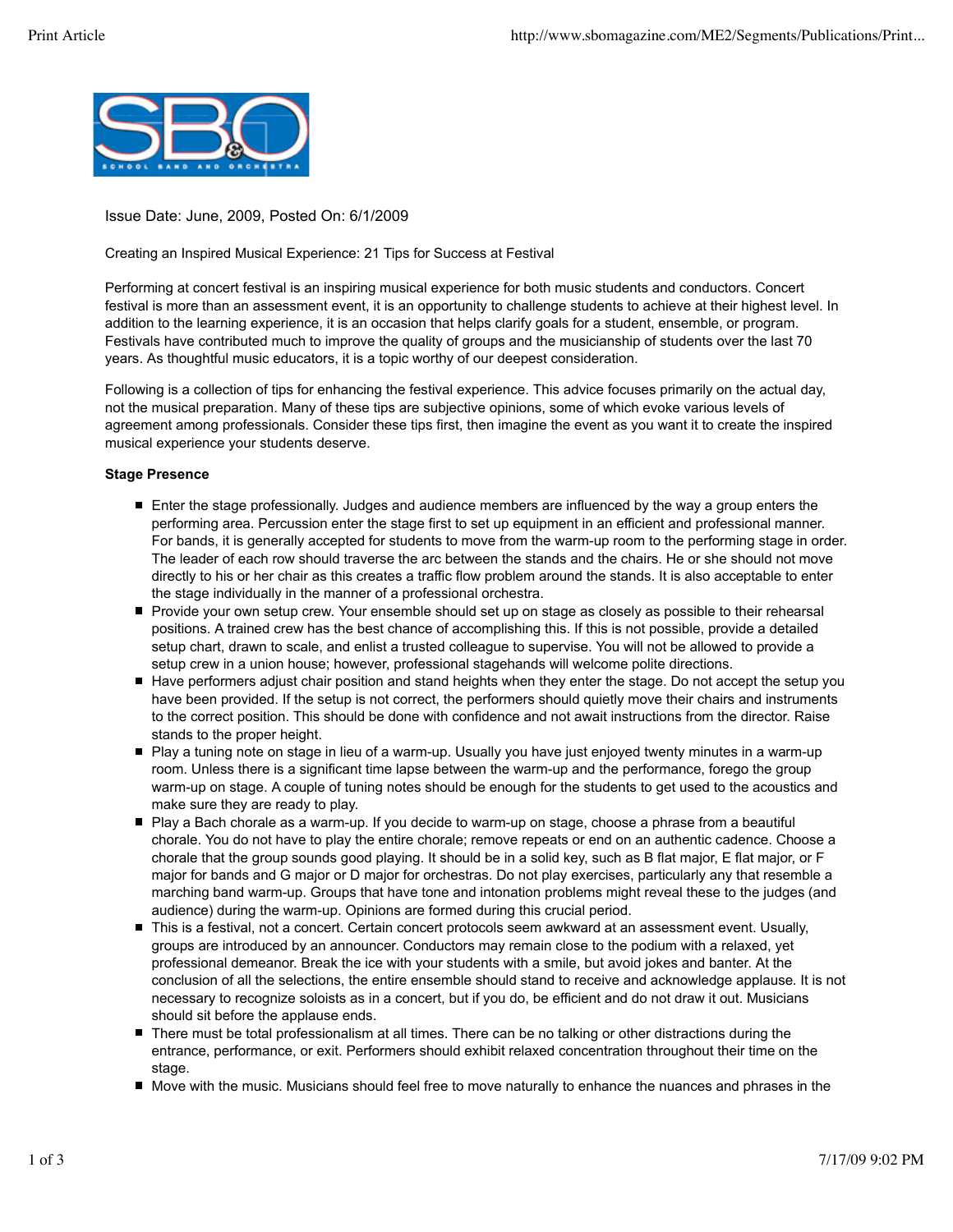

Issue Date: June, 2009, Posted On: 6/1/2009

Creating an Inspired Musical Experience: 21 Tips for Success at Festival

Performing at concert festival is an inspiring musical experience for both music students and conductors. Concert festival is more than an assessment event, it is an opportunity to challenge students to achieve at their highest level. In addition to the learning experience, it is an occasion that helps clarify goals for a student, ensemble, or program. Festivals have contributed much to improve the quality of groups and the musicianship of students over the last 70 years. As thoughtful music educators, it is a topic worthy of our deepest consideration.

Following is a collection of tips for enhancing the festival experience. This advice focuses primarily on the actual day, not the musical preparation. Many of these tips are subjective opinions, some of which evoke various levels of agreement among professionals. Consider these tips first, then imagine the event as you want it to create the inspired musical experience your students deserve.

## **Stage Presence**

- Enter the stage professionally. Judges and audience members are influenced by the way a group enters the performing area. Percussion enter the stage first to set up equipment in an efficient and professional manner. For bands, it is generally accepted for students to move from the warm-up room to the performing stage in order. The leader of each row should traverse the arc between the stands and the chairs. He or she should not move directly to his or her chair as this creates a traffic flow problem around the stands. It is also acceptable to enter the stage individually in the manner of a professional orchestra.
- $\blacksquare$ Provide your own setup crew. Your ensemble should set up on stage as closely as possible to their rehearsal positions. A trained crew has the best chance of accomplishing this. If this is not possible, provide a detailed setup chart, drawn to scale, and enlist a trusted colleague to supervise. You will not be allowed to provide a setup crew in a union house; however, professional stagehands will welcome polite directions.
- Have performers adjust chair position and stand heights when they enter the stage. Do not accept the setup you have been provided. If the setup is not correct, the performers should quietly move their chairs and instruments to the correct position. This should be done with confidence and not await instructions from the director. Raise stands to the proper height.
- Play a tuning note on stage in lieu of a warm-up. Usually you have just enjoyed twenty minutes in a warm-up room. Unless there is a significant time lapse between the warm-up and the performance, forego the group warm-up on stage. A couple of tuning notes should be enough for the students to get used to the acoustics and make sure they are ready to play.
- Play a Bach chorale as a warm-up. If you decide to warm-up on stage, choose a phrase from a beautiful chorale. You do not have to play the entire chorale; remove repeats or end on an authentic cadence. Choose a chorale that the group sounds good playing. It should be in a solid key, such as B flat major, E flat major, or F major for bands and G major or D major for orchestras. Do not play exercises, particularly any that resemble a marching band warm-up. Groups that have tone and intonation problems might reveal these to the judges (and audience) during the warm-up. Opinions are formed during this crucial period.
- This is a festival, not a concert. Certain concert protocols seem awkward at an assessment event. Usually, groups are introduced by an announcer. Conductors may remain close to the podium with a relaxed, yet professional demeanor. Break the ice with your students with a smile, but avoid jokes and banter. At the conclusion of all the selections, the entire ensemble should stand to receive and acknowledge applause. It is not necessary to recognize soloists as in a concert, but if you do, be efficient and do not draw it out. Musicians should sit before the applause ends.
- There must be total professionalism at all times. There can be no talking or other distractions during the entrance, performance, or exit. Performers should exhibit relaxed concentration throughout their time on the stage.
- Move with the music. Musicians should feel free to move naturally to enhance the nuances and phrases in the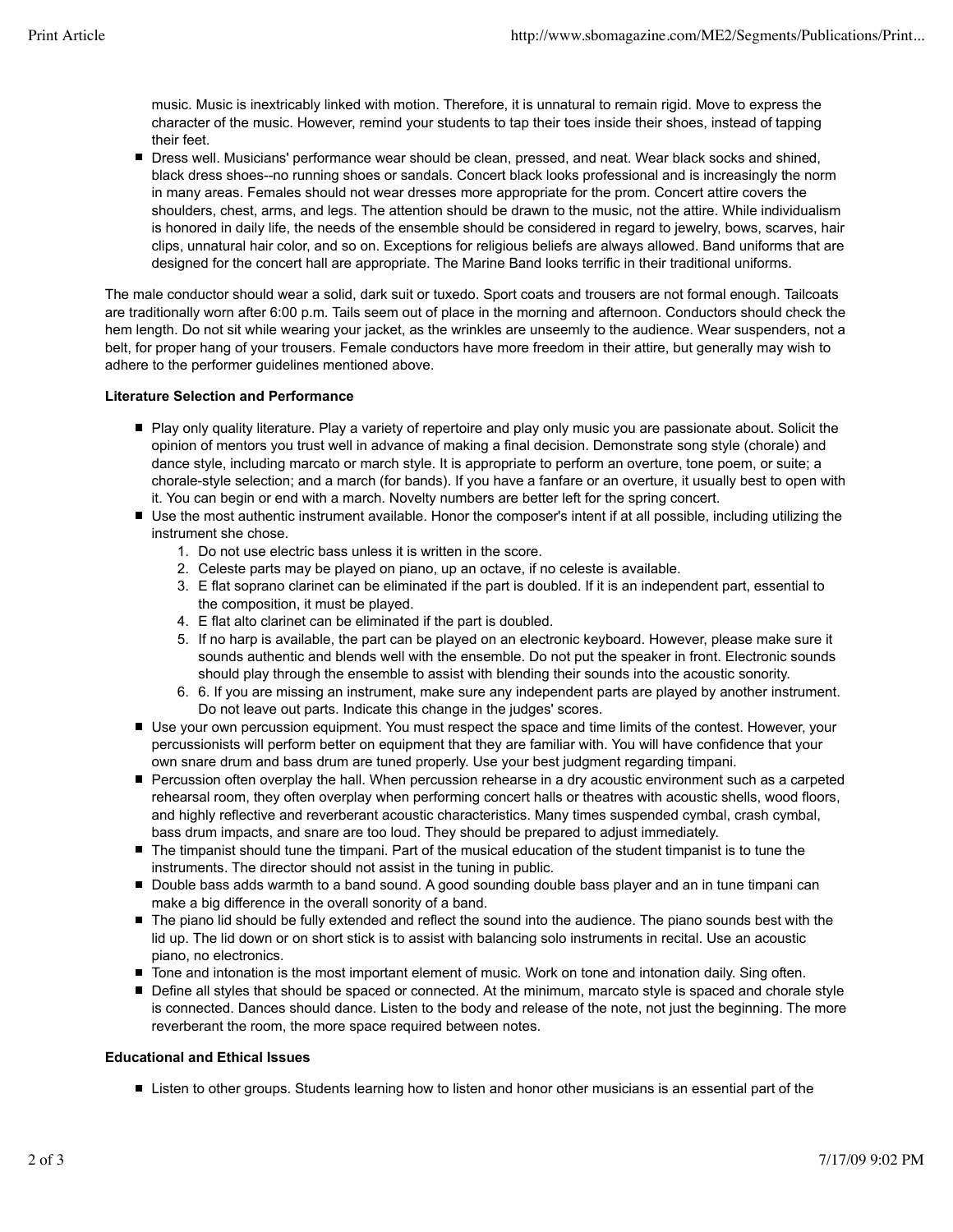music. Music is inextricably linked with motion. Therefore, it is unnatural to remain rigid. Move to express the character of the music. However, remind your students to tap their toes inside their shoes, instead of tapping their feet.

Dress well. Musicians' performance wear should be clean, pressed, and neat. Wear black socks and shined, black dress shoes--no running shoes or sandals. Concert black looks professional and is increasingly the norm in many areas. Females should not wear dresses more appropriate for the prom. Concert attire covers the shoulders, chest, arms, and legs. The attention should be drawn to the music, not the attire. While individualism is honored in daily life, the needs of the ensemble should be considered in regard to jewelry, bows, scarves, hair clips, unnatural hair color, and so on. Exceptions for religious beliefs are always allowed. Band uniforms that are designed for the concert hall are appropriate. The Marine Band looks terrific in their traditional uniforms.

The male conductor should wear a solid, dark suit or tuxedo. Sport coats and trousers are not formal enough. Tailcoats are traditionally worn after 6:00 p.m. Tails seem out of place in the morning and afternoon. Conductors should check the hem length. Do not sit while wearing your jacket, as the wrinkles are unseemly to the audience. Wear suspenders, not a belt, for proper hang of your trousers. Female conductors have more freedom in their attire, but generally may wish to adhere to the performer guidelines mentioned above.

## **Literature Selection and Performance**

- Play only quality literature. Play a variety of repertoire and play only music you are passionate about. Solicit the opinion of mentors you trust well in advance of making a final decision. Demonstrate song style (chorale) and dance style, including marcato or march style. It is appropriate to perform an overture, tone poem, or suite; a chorale-style selection; and a march (for bands). If you have a fanfare or an overture, it usually best to open with it. You can begin or end with a march. Novelty numbers are better left for the spring concert.
- Use the most authentic instrument available. Honor the composer's intent if at all possible, including utilizing the instrument she chose.
	- 1. Do not use electric bass unless it is written in the score.
	- 2. Celeste parts may be played on piano, up an octave, if no celeste is available.
	- E flat soprano clarinet can be eliminated if the part is doubled. If it is an independent part, essential to 3. the composition, it must be played.
	- 4. E flat alto clarinet can be eliminated if the part is doubled.
	- 5. If no harp is available, the part can be played on an electronic keyboard. However, please make sure it sounds authentic and blends well with the ensemble. Do not put the speaker in front. Electronic sounds should play through the ensemble to assist with blending their sounds into the acoustic sonority.
	- 6. If you are missing an instrument, make sure any independent parts are played by another instrument. 6. Do not leave out parts. Indicate this change in the judges' scores.
- Use your own percussion equipment. You must respect the space and time limits of the contest. However, your percussionists will perform better on equipment that they are familiar with. You will have confidence that your own snare drum and bass drum are tuned properly. Use your best judgment regarding timpani.
- Percussion often overplay the hall. When percussion rehearse in a dry acoustic environment such as a carpeted rehearsal room, they often overplay when performing concert halls or theatres with acoustic shells, wood floors, and highly reflective and reverberant acoustic characteristics. Many times suspended cymbal, crash cymbal, bass drum impacts, and snare are too loud. They should be prepared to adjust immediately.
- The timpanist should tune the timpani. Part of the musical education of the student timpanist is to tune the instruments. The director should not assist in the tuning in public.
- Double bass adds warmth to a band sound. A good sounding double bass player and an in tune timpani can make a big difference in the overall sonority of a band.
- The piano lid should be fully extended and reflect the sound into the audience. The piano sounds best with the lid up. The lid down or on short stick is to assist with balancing solo instruments in recital. Use an acoustic piano, no electronics.
- Tone and intonation is the most important element of music. Work on tone and intonation daily. Sing often.
- Define all styles that should be spaced or connected. At the minimum, marcato style is spaced and chorale style is connected. Dances should dance. Listen to the body and release of the note, not just the beginning. The more reverberant the room, the more space required between notes.

## **Educational and Ethical Issues**

■ Listen to other groups. Students learning how to listen and honor other musicians is an essential part of the